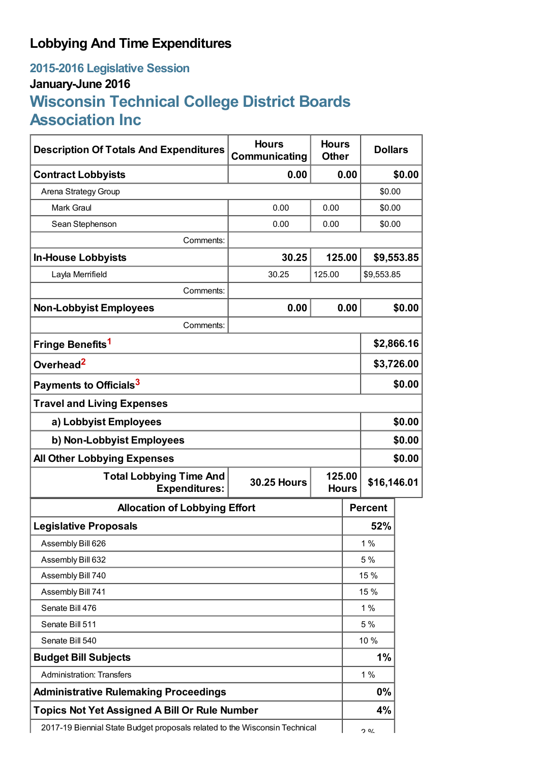## **Lobbying And Time Expenditures**

## **2015-2016 Legislative Session January-June 2016 Wisconsin Technical College District Boards Association Inc**

| <b>Description Of Totals And Expenditures</b>                              | <b>Hours</b><br>Communicating | <b>Hours</b><br><b>Other</b>          | <b>Dollars</b> |        |
|----------------------------------------------------------------------------|-------------------------------|---------------------------------------|----------------|--------|
| <b>Contract Lobbyists</b>                                                  | 0.00                          | 0.00                                  |                | \$0.00 |
| Arena Strategy Group                                                       |                               |                                       | \$0.00         |        |
| <b>Mark Graul</b>                                                          | 0.00                          | 0.00                                  | \$0.00         |        |
| Sean Stephenson                                                            | 0.00                          | 0.00                                  | \$0.00         |        |
| Comments:                                                                  |                               |                                       |                |        |
| <b>In-House Lobbyists</b>                                                  | 30.25                         | 125.00<br>\$9,553.85                  |                |        |
| Layla Merrifield                                                           | 30.25                         | 125.00                                | \$9,553.85     |        |
| Comments:                                                                  |                               |                                       |                |        |
| <b>Non-Lobbyist Employees</b>                                              | 0.00                          | 0.00                                  |                | \$0.00 |
| Comments:                                                                  |                               |                                       |                |        |
| Fringe Benefits <sup>1</sup>                                               |                               |                                       | \$2,866.16     |        |
| Overhead <sup>2</sup>                                                      |                               |                                       | \$3,726.00     |        |
| Payments to Officials <sup>3</sup>                                         |                               |                                       | \$0.00         |        |
| <b>Travel and Living Expenses</b>                                          |                               |                                       |                |        |
| a) Lobbyist Employees                                                      |                               |                                       | \$0.00         |        |
| b) Non-Lobbyist Employees                                                  |                               |                                       | \$0.00         |        |
| <b>All Other Lobbying Expenses</b>                                         |                               |                                       |                | \$0.00 |
| <b>Total Lobbying Time And</b><br><b>Expenditures:</b>                     | <b>30.25 Hours</b>            | 125.00<br>\$16,146.01<br><b>Hours</b> |                |        |
| <b>Allocation of Lobbying Effort</b>                                       |                               |                                       | <b>Percent</b> |        |
| <b>Legislative Proposals</b>                                               |                               |                                       | 52%            |        |
| Assembly Bill 626                                                          |                               |                                       | $1\%$          |        |
| Assembly Bill 632                                                          |                               |                                       | 5 %            |        |
| Assembly Bill 740                                                          |                               |                                       | 15 %           |        |
| Assembly Bill 741                                                          |                               |                                       | 15 %           |        |
| Senate Bill 476                                                            |                               |                                       | 1%             |        |
| Senate Bill 511                                                            |                               |                                       | 5 %            |        |
| Senate Bill 540                                                            |                               |                                       | 10 %           |        |
| <b>Budget Bill Subjects</b>                                                |                               |                                       | 1%             |        |
| <b>Administration: Transfers</b>                                           |                               |                                       | 1%             |        |
| <b>Administrative Rulemaking Proceedings</b>                               |                               |                                       | 0%             |        |
| <b>Topics Not Yet Assigned A Bill Or Rule Number</b>                       |                               |                                       | 4%             |        |
| 2017-19 Biennial State Budget proposals related to the Wisconsin Technical |                               |                                       | <u>ገ ዐ/</u>    |        |